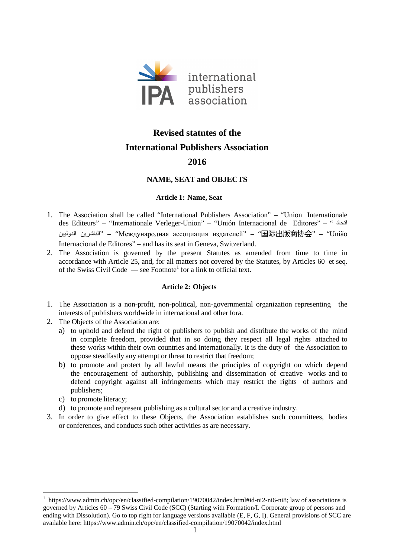

# **Revised statutes of the International Publishers Association**

# **2016**

## **NAME, SEAT and OBJECTS**

## **Article 1: Name, Seat**

- 1. The Association shall be called "International Publishers Association" "Union Internationale des Editeurs" – "Internationale Verleger-Union" – "Unión Internacional de Editores" – " دا الناشرين الدوليين" – "Международная ассоциация издателей" – "国际出版商协会" – "União Internacional de Editores" – and has its seat in Geneva, Switzerland.
- 2. The Association is governed by the present Statutes as amended from time to time in accordance with Article 25, and, for all matters not covered by the Statutes, by Articles 60 et seq. of the Swiss Civil Code  $\qquad$  see Footnote<sup>1</sup> for a link to official text.

## **Article 2: Objects**

- 1. The Association is a non-profit, non-political, non-governmental organization representing the interests of publishers worldwide in international and other fora.
- 2. The Objects of the Association are:
	- a) to uphold and defend the right of publishers to publish and distribute the works of the mind in complete freedom, provided that in so doing they respect all legal rights attached to these works within their own countries and internationally. It is the duty of the Association to oppose steadfastly any attempt or threat to restrict that freedom;
	- b) to promote and protect by all lawful means the principles of copyright on which depend the encouragement of authorship, publishing and dissemination of creative works and to defend copyright against all infringements which may restrict the rights of authors and publishers;
	- c) to promote literacy;

 $\overline{a}$ 

- d) to promote and represent publishing as a cultural sector and a creative industry.
- 3. In order to give effect to these Objects, the Association establishes such committees, bodies or conferences, and conducts such other activities as are necessary.

<sup>&</sup>lt;sup>1</sup> https://www.admin.ch/opc/en/classified-compilation/19070042/index.html#id-ni2-ni6-ni8; law of associations is governed by Articles 60 – 79 Swiss Civil Code (SCC) (Starting with Formation/I. Corporate group of persons and ending with Dissolution). Go to top right for language versions available (E, F, G, I). General provisions of SCC are available here: https://www.admin.ch/opc/en/classified-compilation/19070042/index.html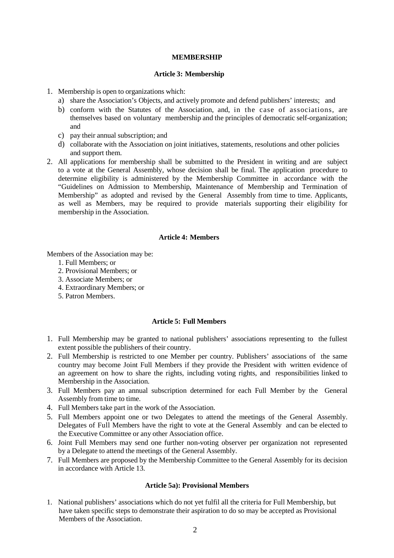#### **MEMBERSHIP**

#### **Article 3: Membership**

- 1. Membership is open to organizations which:
	- a) share the Association's Objects, and actively promote and defend publishers' interests; and
	- b) conform with the Statutes of the Association, and, in the case of associations, are themselves based on voluntary membership and the principles of democratic self-organization; and
	- c) pay their annual subscription; and
	- d) collaborate with the Association on joint initiatives, statements, resolutions and other policies and support them.
- 2. All applications for membership shall be submitted to the President in writing and are subject to a vote at the General Assembly, whose decision shall be final. The application procedure to determine eligibility is administered by the Membership Committee in accordance with the "Guidelines on Admission to Membership, Maintenance of Membership and Termination of Membership" as adopted and revised by the General Assembly from time to time. Applicants, as well as Members, may be required to provide materials supporting their eligibility for membership in the Association.

#### **Article 4: Members**

Members of the Association may be:

- 1. Full Members; or
- 2. Provisional Members; or
- 3. Associate Members; or
- 4. Extraordinary Members; or
- 5. Patron Members.

#### **Article 5: Full Members**

- 1. Full Membership may be granted to national publishers' associations representing to the fullest extent possible the publishers of their country.
- 2. Full Membership is restricted to one Member per country. Publishers' associations of the same country may become Joint Full Members if they provide the President with written evidence of an agreement on how to share the rights, including voting rights, and responsibilities linked to Membership in the Association.
- 3. Full Members pay an annual subscription determined for each Full Member by the General Assembly from time to time.
- 4. Full Members take part in the work of the Association.
- 5. Full Members appoint one or two Delegates to attend the meetings of the General Assembly. Delegates of Full Members have the right to vote at the General Assembly and can be elected to the Executive Committee or any other Association office.
- 6. Joint Full Members may send one further non-voting observer per organization not represented by a Delegate to attend the meetings of the General Assembly.
- 7. Full Members are proposed by the Membership Committee to the General Assembly for its decision in accordance with Article 13.

#### **Article 5a): Provisional Members**

1. National publishers' associations which do not yet fulfil all the criteria for Full Membership, but have taken specific steps to demonstrate their aspiration to do so may be accepted as Provisional Members of the Association.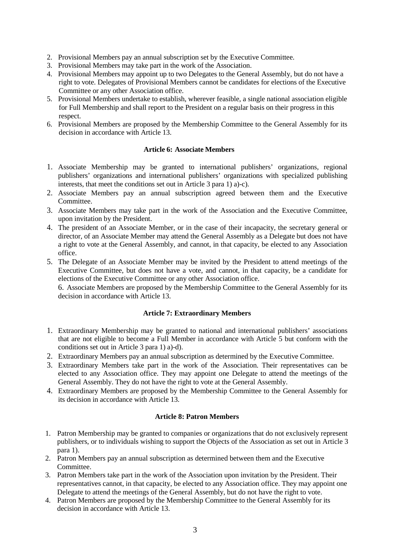- 2. Provisional Members pay an annual subscription set by the Executive Committee.
- 3. Provisional Members may take part in the work of the Association.
- 4. Provisional Members may appoint up to two Delegates to the General Assembly, but do not have a right to vote. Delegates of Provisional Members cannot be candidates for elections of the Executive Committee or any other Association office.
- 5. Provisional Members undertake to establish, wherever feasible, a single national association eligible for Full Membership and shall report to the President on a regular basis on their progress in this respect.
- 6. Provisional Members are proposed by the Membership Committee to the General Assembly for its decision in accordance with Article 13.

## **Article 6: Associate Members**

- 1. Associate Membership may be granted to international publishers' organizations, regional publishers' organizations and international publishers' organizations with specialized publishing interests, that meet the conditions set out in Article 3 para 1) a)-c).
- 2. Associate Members pay an annual subscription agreed between them and the Executive Committee.
- 3. Associate Members may take part in the work of the Association and the Executive Committee, upon invitation by the President.
- 4. The president of an Associate Member, or in the case of their incapacity, the secretary general or director, of an Associate Member may attend the General Assembly as a Delegate but does not have a right to vote at the General Assembly, and cannot, in that capacity, be elected to any Association office.
- 5. The Delegate of an Associate Member may be invited by the President to attend meetings of the Executive Committee, but does not have a vote, and cannot, in that capacity, be a candidate for elections of the Executive Committee or any other Association office.

6. Associate Members are proposed by the Membership Committee to the General Assembly for its decision in accordance with Article 13.

## **Article 7: Extraordinary Members**

- 1. Extraordinary Membership may be granted to national and international publishers' associations that are not eligible to become a Full Member in accordance with Article 5 but conform with the conditions set out in Article 3 para 1) a)-d).
- 2. Extraordinary Members pay an annual subscription as determined by the Executive Committee.
- 3. Extraordinary Members take part in the work of the Association. Their representatives can be elected to any Association office. They may appoint one Delegate to attend the meetings of the General Assembly. They do not have the right to vote at the General Assembly.
- 4. Extraordinary Members are proposed by the Membership Committee to the General Assembly for its decision in accordance with Article 13.

## **Article 8: Patron Members**

- 1. Patron Membership may be granted to companies or organizations that do not exclusively represent publishers, or to individuals wishing to support the Objects of the Association as set out in Article 3 para 1).
- 2. Patron Members pay an annual subscription as determined between them and the Executive Committee.
- 3. Patron Members take part in the work of the Association upon invitation by the President. Their representatives cannot, in that capacity, be elected to any Association office. They may appoint one Delegate to attend the meetings of the General Assembly, but do not have the right to vote.
- 4. Patron Members are proposed by the Membership Committee to the General Assembly for its decision in accordance with Article 13.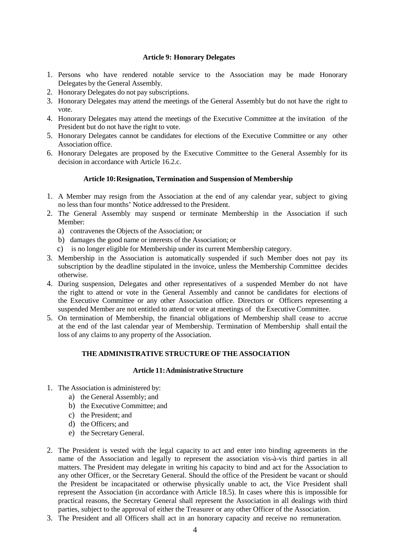## **Article 9: Honorary Delegates**

- 1. Persons who have rendered notable service to the Association may be made Honorary Delegates by the General Assembly.
- 2. Honorary Delegates do not pay subscriptions.
- 3. Honorary Delegates may attend the meetings of the General Assembly but do not have the right to vote.
- 4. Honorary Delegates may attend the meetings of the Executive Committee at the invitation of the President but do not have the right to vote.
- 5. Honorary Delegates cannot be candidates for elections of the Executive Committee or any other Association office.
- 6. Honorary Delegates are proposed by the Executive Committee to the General Assembly for its decision in accordance with Article 16.2.c.

## **Article 10: Resignation, Termination and Suspension of Membership**

- 1. A Member may resign from the Association at the end of any calendar year, subject to giving no less than four months' Notice addressed to the President.
- 2. The General Assembly may suspend or terminate Membership in the Association if such Member:
	- a) contravenes the Objects of the Association; or
	- b) damages the good name or interests of the Association; or
	- c) is no longer eligible for Membership under its current Membership category.
- 3. Membership in the Association is automatically suspended if such Member does not pay its subscription by the deadline stipulated in the invoice, unless the Membership Committee decides otherwise.
- 4. During suspension, Delegates and other representatives of a suspended Member do not have the right to attend or vote in the General Assembly and cannot be candidates for elections of the Executive Committee or any other Association office. Directors or Officers representing a suspended Member are not entitled to attend or vote at meetings of the Executive Committee.
- 5. On termination of Membership, the financial obligations of Membership shall cease to accrue at the end of the last calendar year of Membership. Termination of Membership shall entail the loss of any claims to any property of the Association.

## **THE ADMINISTRATIVE STRUCTURE OF THE ASSOCIATION**

## **Article 11: Administrative Structure**

- 1. The Association is administered by:
	- a) the General Assembly; and
	- b) the Executive Committee; and
	- c) the President; and
	- d) the Officers; and
	- e) the Secretary General.
- 2. The President is vested with the legal capacity to act and enter into binding agreements in the name of the Association and legally to represent the association vis-à-vis third parties in all matters. The President may delegate in writing his capacity to bind and act for the Association to any other Officer, or the Secretary General. Should the office of the President be vacant or should the President be incapacitated or otherwise physically unable to act, the Vice President shall represent the Association (in accordance with Article 18.5). In cases where this is impossible for practical reasons, the Secretary General shall represent the Association in all dealings with third parties, subject to the approval of either the Treasurer or any other Officer of the Association.
- 3. The President and all Officers shall act in an honorary capacity and receive no remuneration.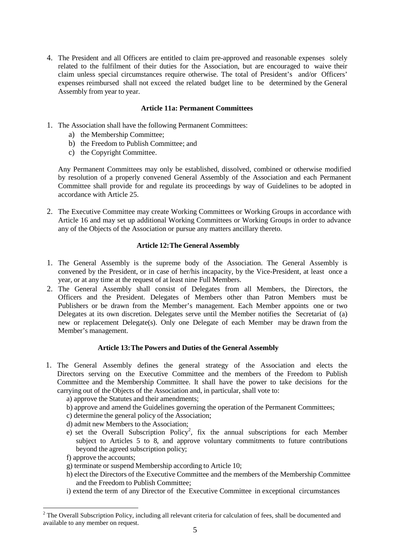4. The President and all Officers are entitled to claim pre-approved and reasonable expenses solely related to the fulfilment of their duties for the Association, but are encouraged to waive their claim unless special circumstances require otherwise. The total of President's and/or Officers' expenses reimbursed shall not exceed the related budget line to be determined by the General Assembly from year to year.

## **Article 11a: Permanent Committees**

- 1. The Association shall have the following Permanent Committees:
	- a) the Membership Committee;
	- b) the Freedom to Publish Committee; and
	- c) the Copyright Committee.

Any Permanent Committees may only be established, dissolved, combined or otherwise modified by resolution of a properly convened General Assembly of the Association and each Permanent Committee shall provide for and regulate its proceedings by way of Guidelines to be adopted in accordance with Article 25.

2. The Executive Committee may create Working Committees or Working Groups in accordance with Article 16 and may set up additional Working Committees or Working Groups in order to advance any of the Objects of the Association or pursue any matters ancillary thereto.

## **Article 12: The General Assembly**

- 1. The General Assembly is the supreme body of the Association. The General Assembly is convened by the President, or in case of her/his incapacity, by the Vice-President, at least once a year, or at any time at the request of at least nine Full Members.
- 2. The General Assembly shall consist of Delegates from all Members, the Directors, the Officers and the President. Delegates of Members other than Patron Members must be Publishers or be drawn from the Member's management. Each Member appoints one or two Delegates at its own discretion. Delegates serve until the Member notifies the Secretariat of (a) new or replacement Delegate(s). Only one Delegate of each Member may be drawn from the Member's management.

## **Article 13: The Powers and Duties of the General Assembly**

- 1. The General Assembly defines the general strategy of the Association and elects the Directors serving on the Executive Committee and the members of the Freedom to Publish Committee and the Membership Committee. It shall have the power to take decisions for the carrying out of the Objects of the Association and, in particular, shall vote to:
	- a) approve the Statutes and their amendments;
	- b) approve and amend the Guidelines governing the operation of the Permanent Committees;
	- c) determine the general policy of the Association;
	- d) admit new Members to the Association;
	- e) set the Overall Subscription Policy<sup>2</sup>, fix the annual subscriptions for each Member subject to Articles 5 to 8, and approve voluntary commitments to future contributions beyond the agreed subscription policy;
	- f) approve the accounts;

 $\overline{a}$ 

- g) terminate or suspend Membership according to Article 10;
- h) elect the Directors of the Executive Committee and the members of the Membership Committee and the Freedom to Publish Committee;
- i) extend the term of any Director of the Executive Committee in exceptional circumstances

 $2$  The Overall Subscription Policy, including all relevant criteria for calculation of fees, shall be documented and available to any member on request.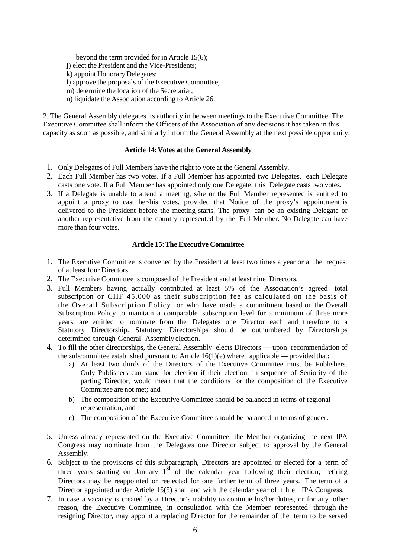beyond the term provided for in Article 15(6);

j) elect the President and the Vice-Presidents;

- k) appoint Honorary Delegates;
- l) approve the proposals of the Executive Committee;
- m) determine the location of the Secretariat;
- n) liquidate the Association according to Article 26.

2. The General Assembly delegates its authority in between meetings to the Executive Committee. The Executive Committee shall inform the Officers of the Association of any decisions it has taken in this capacity as soon as possible, and similarly inform the General Assembly at the next possible opportunity.

## **Article 14: Votes at the General Assembly**

- 1. Only Delegates of Full Members have the right to vote at the General Assembly.
- 2. Each Full Member has two votes. If a Full Member has appointed two Delegates, each Delegate casts one vote. If a Full Member has appointed only one Delegate, this Delegate casts two votes.
- 3. If a Delegate is unable to attend a meeting, s/he or the Full Member represented is entitled to appoint a proxy to cast her/his votes, provided that Notice of the proxy's appointment is delivered to the President before the meeting starts. The proxy can be an existing Delegate or another representative from the country represented by the Full Member. No Delegate can have more than four votes.

## **Article 15: The Executive Committee**

- 1. The Executive Committee is convened by the President at least two times a year or at the request of at least four Directors.
- 2. The Executive Committee is composed of the President and at least nine Directors.
- 3. Full Members having actually contributed at least 5% of the Association's agreed total subscription or CHF 45,000 as their subscription fee as calculated on the basis of the Overall Subscription Policy, or who have made a commitment based on the Overall Subscription Policy to maintain a comparable subscription level for a minimum of three more years, are entitled to nominate from the Delegates one Director each and therefore to a Statutory Directorship. Statutory Directorships should be outnumbered by Directorships determined through General Assembly election.
- 4. To fill the other directorships, the General Assembly elects Directors upon recommendation of the subcommittee established pursuant to Article  $16(1)(e)$  where applicable — provided that:
	- a) At least two thirds of the Directors of the Executive Committee must be Publishers. Only Publishers can stand for election if their election, in sequence of Seniority of the parting Director, would mean that the conditions for the composition of the Executive Committee are not met; and
	- b) The composition of the Executive Committee should be balanced in terms of regional representation; and
	- c) The composition of the Executive Committee should be balanced in terms of gender.
- 5. Unless already represented on the Executive Committee, the Member organizing the next IPA Congress may nominate from the Delegates one Director subject to approval by the General Assembly.
- 6. Subject to the provisions of this subparagraph, Directors are appointed or elected for a term of three years starting on January  $1<sup>st</sup>$  of the calendar year following their election; retiring Directors may be reappointed or reelected for one further term of three years. The term of a Director appointed under Article 15(5) shall end with the calendar year of the IPA Congress.
- 7. In case a vacancy is created by a Director's inability to continue his/her duties, or for any other reason, the Executive Committee, in consultation with the Member represented through the resigning Director, may appoint a replacing Director for the remainder of the term to be served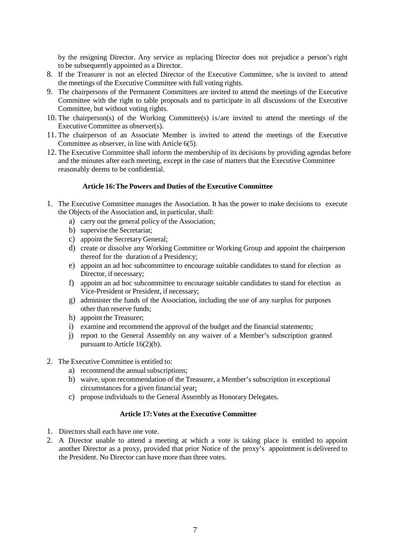by the resigning Director. Any service as replacing Director does not prejudice a person's right to be subsequently appointed as a Director.

- 8. If the Treasurer is not an elected Director of the Executive Committee, s/he is invited to attend the meetings of the Executive Committee with full voting rights.
- 9. The chairpersons of the Permanent Committees are invited to attend the meetings of the Executive Committee with the right to table proposals and to participate in all discussions of the Executive Committee, but without voting rights.
- 10. The chairperson(s) of the Working Committee(s) is/are invited to attend the meetings of the Executive Committee as observer(s).
- 11. The chairperson of an Associate Member is invited to attend the meetings of the Executive Committee as observer, in line with Article 6(5).
- 12. The Executive Committee shall inform the membership of its decisions by providing agendas before and the minutes after each meeting, except in the case of matters that the Executive Committee reasonably deems to be confidential.

#### **Article 16: The Powers and Duties of the Executive Committee**

- 1. The Executive Committee manages the Association. It has the power to make decisions to execute the Objects of the Association and, in particular, shall:
	- a) carry out the general policy of the Association;
	- b) supervise the Secretariat;
	- c) appoint the Secretary General;
	- d) create or dissolve any Working Committee or Working Group and appoint the chairperson thereof for the duration of a Presidency;
	- e) appoint an ad hoc subcommittee to encourage suitable candidates to stand for election as Director, if necessary;
	- f) appoint an ad hoc subcommittee to encourage suitable candidates to stand for election as Vice-President or President, if necessary;
	- g) administer the funds of the Association, including the use of any surplus for purposes other than reserve funds;
	- h) appoint the Treasurer;
	- i) examine and recommend the approval of the budget and the financial statements;
	- j) report to the General Assembly on any waiver of a Member's subscription granted pursuant to Article 16(2)(b).
- 2. The Executive Committee is entitled to:
	- a) recommend the annual subscriptions;
	- b) waive, upon recommendation of the Treasurer, a Member's subscription in exceptional circumstances for a given financial year;
	- c) propose individuals to the General Assembly as Honorary Delegates.

### **Article 17: Votes at the Executive Committee**

- 1. Directors shall each have one vote.
- 2. A Director unable to attend a meeting at which a vote is taking place is entitled to appoint another Director as a proxy, provided that prior Notice of the proxy's appointment is delivered to the President. No Director can have more than three votes.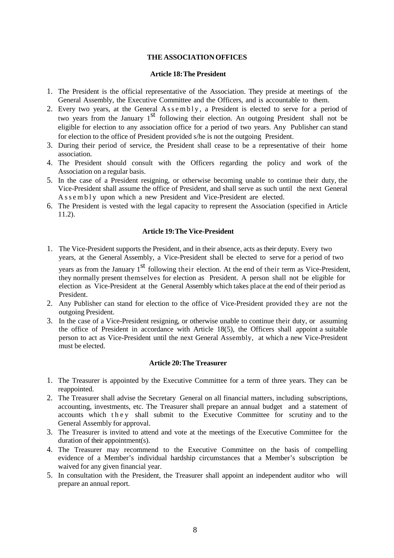## **THE ASSOCIATION OFFICES**

#### **Article 18: The President**

- 1. The President is the official representative of the Association. They preside at meetings of the General Assembly, the Executive Committee and the Officers, and is accountable to them.
- 2. Every two years, at the General Assembly, a President is elected to serve for a period of two years from the January  $1<sup>st</sup>$  following their election. An outgoing President shall not be eligible for election to any association office for a period of two years. Any Publisher can stand for election to the office of President provided s/he is not the outgoing President.
- 3. During their period of service, the President shall cease to be a representative of their home association.
- 4. The President should consult with the Officers regarding the policy and work of the Association on a regular basis.
- 5. In the case of a President resigning, or otherwise becoming unable to continue their duty, the Vice-President shall assume the office of President, and shall serve as such until the next General A s s e m b l y upon which a new President and Vice-President are elected.
- 6. The President is vested with the legal capacity to represent the Association (specified in Article 11.2).

#### **Article 19: The Vice-President**

- 1. The Vice-President supports the President, and in their absence, acts as their deputy. Every two years, at the General Assembly, a Vice-President shall be elected to serve for a period of two years as from the January 1<sup>st</sup> following their election. At the end of their term as Vice-President, they normally present themselves for election as President. A person shall not be eligible for election as Vice-President at the General Assembly which takes place at the end of their period as President.
- 2. Any Publisher can stand for election to the office of Vice-President provided they are not the outgoing President.
- 3. In the case of a Vice-President resigning, or otherwise unable to continue their duty, or assuming the office of President in accordance with Article 18(5), the Officers shall appoint a suitable person to act as Vice-President until the next General Assembly, at which a new Vice-President must be elected.

#### **Article 20: The Treasurer**

- 1. The Treasurer is appointed by the Executive Committee for a term of three years. They can be reappointed.
- 2. The Treasurer shall advise the Secretary General on all financial matters, including subscriptions, accounting, investments, etc. The Treasurer shall prepare an annual budget and a statement of accounts which they shall submit to the Executive Committee for scrutiny and to the General Assembly for approval.
- 3. The Treasurer is invited to attend and vote at the meetings of the Executive Committee for the duration of their appointment(s).
- 4. The Treasurer may recommend to the Executive Committee on the basis of compelling evidence of a Member's individual hardship circumstances that a Member's subscription be waived for any given financial year.
- 5. In consultation with the President, the Treasurer shall appoint an independent auditor who will prepare an annual report.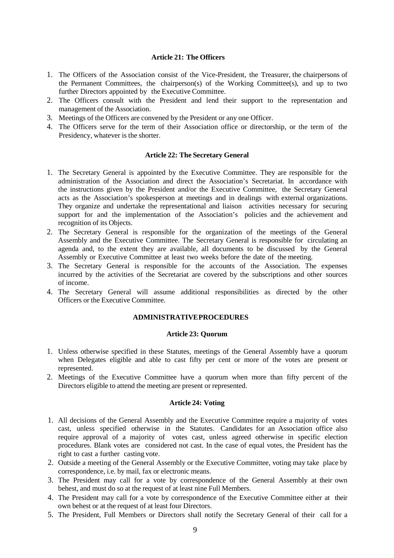#### **Article 21: The Officers**

- 1. The Officers of the Association consist of the Vice-President, the Treasurer, the chairpersons of the Permanent Committees, the chairperson(s) of the Working Committee(s), and up to two further Directors appointed by the Executive Committee.
- 2. The Officers consult with the President and lend their support to the representation and management of the Association.
- 3. Meetings of the Officers are convened by the President or any one Officer.
- 4. The Officers serve for the term of their Association office or directorship, or the term of the Presidency, whatever is the shorter.

#### **Article 22: The Secretary General**

- 1. The Secretary General is appointed by the Executive Committee. They are responsible for the administration of the Association and direct the Association's Secretariat. In accordance with the instructions given by the President and/or the Executive Committee, the Secretary General acts as the Association's spokesperson at meetings and in dealings with external organizations. They organize and undertake the representational and liaison activities necessary for securing support for and the implementation of the Association's policies and the achievement and recognition of its Objects.
- 2. The Secretary General is responsible for the organization of the meetings of the General Assembly and the Executive Committee. The Secretary General is responsible for circulating an agenda and, to the extent they are available, all documents to be discussed by the General Assembly or Executive Committee at least two weeks before the date of the meeting.
- 3. The Secretary General is responsible for the accounts of the Association. The expenses incurred by the activities of the Secretariat are covered by the subscriptions and other sources of income.
- 4. The Secretary General will assume additional responsibilities as directed by the other Officers or the Executive Committee.

#### **ADMINISTRATIVE PROCEDURES**

#### **Article 23: Quorum**

- 1. Unless otherwise specified in these Statutes, meetings of the General Assembly have a quorum when Delegates eligible and able to cast fifty per cent or more of the votes are present or represented.
- 2. Meetings of the Executive Committee have a quorum when more than fifty percent of the Directors eligible to attend the meeting are present or represented.

#### **Article 24: Voting**

- 1. All decisions of the General Assembly and the Executive Committee require a majority of votes cast, unless specified otherwise in the Statutes. Candidates for an Association office also require approval of a majority of votes cast, unless agreed otherwise in specific election procedures. Blank votes are considered not cast. In the case of equal votes, the President has the right to cast a further casting vote.
- 2. Outside a meeting of the General Assembly or the Executive Committee, voting may take place by correspondence, i.e. by mail, fax or electronic means.
- 3. The President may call for a vote by correspondence of the General Assembly at their own behest, and must do so at the request of at least nine Full Members.
- 4. The President may call for a vote by correspondence of the Executive Committee either at their own behest or at the request of at least four Directors.
- 5. The President, Full Members or Directors shall notify the Secretary General of their call for a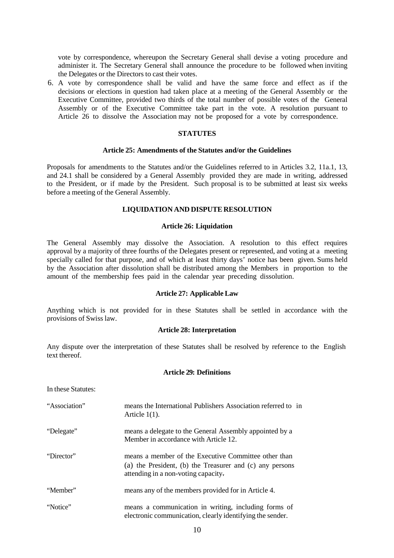vote by correspondence, whereupon the Secretary General shall devise a voting procedure and administer it. The Secretary General shall announce the procedure to be followed when inviting the Delegates or the Directors to cast their votes.

6. A vote by correspondence shall be valid and have the same force and effect as if the decisions or elections in question had taken place at a meeting of the General Assembly or the Executive Committee, provided two thirds of the total number of possible votes of the General Assembly or of the Executive Committee take part in the vote. A resolution pursuant to Article 26 to dissolve the Association may not be proposed for a vote by correspondence.

#### **STATUTES**

#### **Article 25: Amendments of the Statutes and/or the Guidelines**

Proposals for amendments to the Statutes and/or the Guidelines referred to in Articles 3.2, 11a.1, 13, and 24.1 shall be considered by a General Assembly provided they are made in writing, addressed to the President, or if made by the President. Such proposal is to be submitted at least six weeks before a meeting of the General Assembly.

#### **LIQUIDATION AND DISPUTE RESOLUTION**

#### **Article 26: Liquidation**

The General Assembly may dissolve the Association. A resolution to this effect requires approval by a majority of three fourths of the Delegates present or represented, and voting at a meeting specially called for that purpose, and of which at least thirty days' notice has been given. Sums held by the Association after dissolution shall be distributed among the Members in proportion to the amount of the membership fees paid in the calendar year preceding dissolution.

#### **Article 27: Applicable Law**

Anything which is not provided for in these Statutes shall be settled in accordance with the provisions of Swiss law.

## **Article 28: Interpretation**

Any dispute over the interpretation of these Statutes shall be resolved by reference to the English text thereof.

#### **Article 29: Definitions**

| In these Statutes: |                                                                                                  |
|--------------------|--------------------------------------------------------------------------------------------------|
| "Association"      | means the International Publishers Association referred to in<br>Article $1(1)$ .                |
| "Delegate"         | means a delegate to the General Assembly appointed by a<br>Member in accordance with Article 12. |

"Director" means a member of the Executive Committee other than (a) the President, (b) the Treasurer and (c) any persons attending in a non-voting capacity.

"Member" means any of the members provided for in Article 4.

"Notice" means a communication in writing, including forms of electronic communication, clearly identifying the sender.